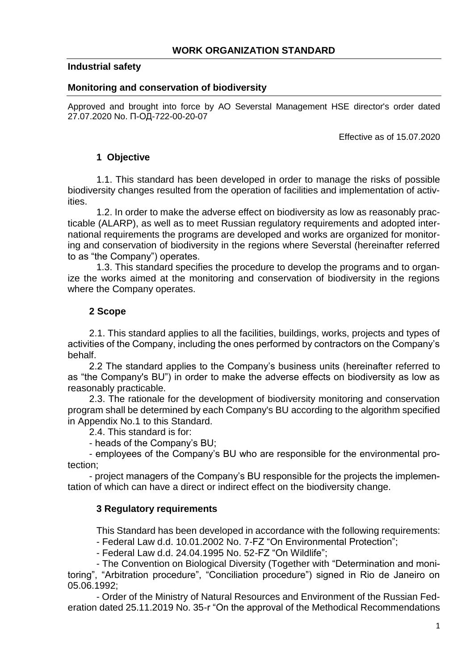# **Industrial safety**

#### **Monitoring and conservation of biodiversity**

Approved and brought into force by AO Severstal Management HSE director's order dated 27.07.2020 No. П-ОД-722-00-20-07

Effective as of 15.07.2020

# **1 Objective**

1.1. This standard has been developed in order to manage the risks of possible biodiversity changes resulted from the operation of facilities and implementation of activities.

1.2. In order to make the adverse effect on biodiversity as low as reasonably practicable (ALARP), as well as to meet Russian regulatory requirements and adopted international requirements the programs are developed and works are organized for monitoring and conservation of biodiversity in the regions where Severstal (hereinafter referred to as "the Company") operates.

1.3. This standard specifies the procedure to develop the programs and to organize the works aimed at the monitoring and conservation of biodiversity in the regions where the Company operates.

# **2 Scope**

2.1. This standard applies to all the facilities, buildings, works, projects and types of activities of the Company, including the ones performed by contractors on the Company's behalf.

2.2 The standard applies to the Company's business units (hereinafter referred to as "the Company's BU") in order to make the adverse effects on biodiversity as low as reasonably practicable.

2.3. The rationale for the development of biodiversity monitoring and conservation program shall be determined by each Company's BU according to the algorithm specified in Appendix No.1 to this Standard.

2.4. This standard is for:

- heads of the Company's BU;

- employees of the Company's BU who are responsible for the environmental protection;

- project managers of the Company's BU responsible for the projects the implementation of which can have a direct or indirect effect on the biodiversity change.

# **3 Regulatory requirements**

This Standard has been developed in accordance with the following requirements:

- Federal Law d.d. 10.01.2002 No. 7-FZ "On Environmental Protection";

- Federal Law d.d. 24.04.1995 No. 52-FZ "On Wildlife";

- The Convention on Biological Diversity (Together with "Determination and monitoring", "Arbitration procedure", "Conciliation procedure") signed in Rio de Janeiro on 05.06.1992;

- Order of the Ministry of Natural Resources and Environment of the Russian Federation dated 25.11.2019 No. 35-r "On the approval of the Methodical Recommendations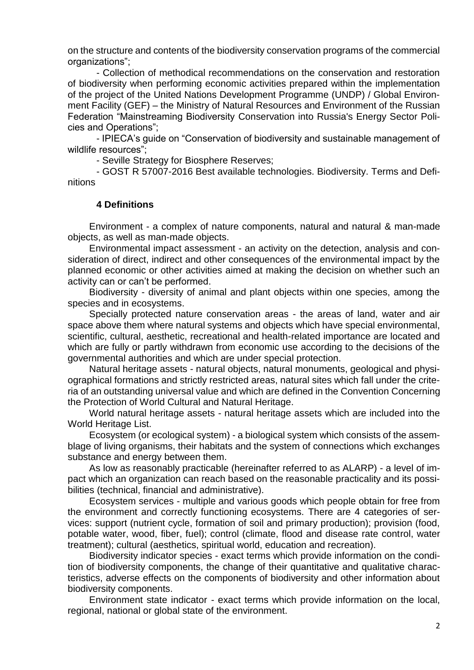on the structure and contents of the biodiversity conservation programs of the commercial organizations";

- Collection of methodical recommendations on the conservation and restoration of biodiversity when performing economic activities prepared within the implementation of the project of the United Nations Development Programme (UNDP) / Global Environment Facility (GEF) – the Ministry of Natural Resources and Environment of the Russian Federation "Mainstreaming Biodiversity Conservation into Russia's Energy Sector Policies and Operations";

- IPIECA's guide on "Conservation of biodiversity and sustainable management of wildlife resources";

- Seville Strategy for Biosphere Reserves;

- GOST R 57007-2016 Best available technologies. Biodiversity. Terms and Definitions

#### **4 Definitions**

Environment - a complex of nature components, natural and natural & man-made objects, as well as man-made objects.

Environmental impact assessment - an activity on the detection, analysis and consideration of direct, indirect and other consequences of the environmental impact by the planned economic or other activities aimed at making the decision on whether such an activity can or can't be performed.

Biodiversity - diversity of animal and plant objects within one species, among the species and in ecosystems.

Specially protected nature conservation areas - the areas of land, water and air space above them where natural systems and objects which have special environmental, scientific, cultural, aesthetic, recreational and health-related importance are located and which are fully or partly withdrawn from economic use according to the decisions of the governmental authorities and which are under special protection.

Natural heritage assets - natural objects, natural monuments, geological and physiographical formations and strictly restricted areas, natural sites which fall under the criteria of an outstanding universal value and which are defined in the [Convention](consultantplus://offline/ref=FB55C7F6832A3C5DE35942D7E3A50FAEBDBADB4B21DB9CD1F8FDAAEA173C05E74CB883FED5FCA7CCA0D1DC28P8j9I) Concerning the Protection of World Cultural and Natural Heritage.

World natural heritage assets - natural heritage assets which are included into the World Heritage List.

Ecosystem (or ecological system) - a biological system which consists of the assemblage of living organisms, their habitats and the system of connections which exchanges substance and energy between them.

As low as reasonably practicable (hereinafter referred to as ALARP) - a level of impact which an organization can reach based on the reasonable practicality and its possibilities (technical, financial and administrative).

Ecosystem services - multiple and various goods which people obtain for free from the environment and correctly functioning ecosystems. There are 4 categories of services: support (nutrient cycle, formation of soil and primary production); provision (food, potable water, wood, fiber, fuel); control (climate, flood and disease rate control, water treatment); cultural (aesthetics, spiritual world, education and recreation).

Biodiversity indicator species - exact terms which provide information on the condition of biodiversity components, the change of their quantitative and qualitative characteristics, adverse effects on the components of biodiversity and other information about biodiversity components.

Environment state indicator - exact terms which provide information on the local, regional, national or global state of the environment.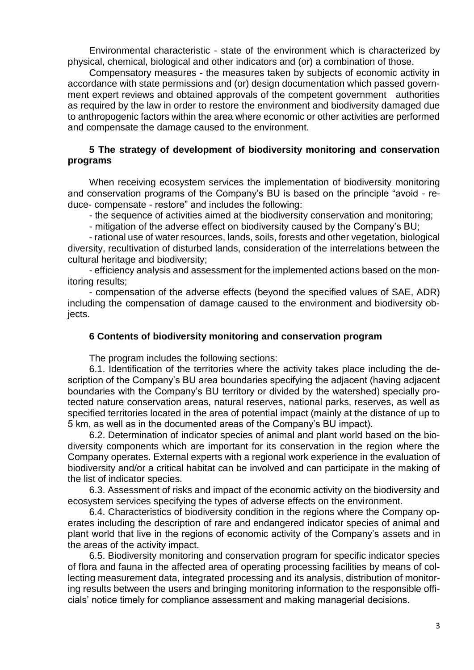Environmental characteristic - state of the environment which is characterized by physical, chemical, biological and other indicators and (or) a combination of those.

Compensatory measures - the measures taken by subjects of economic activity in accordance with state permissions and (or) design documentation which passed government expert reviews and obtained approvals of the competent government authorities as required by the law in order to restore the environment and biodiversity damaged due to anthropogenic factors within the area where economic or other activities are performed and compensate the damage caused to the environment.

# **5 The strategy of development of biodiversity monitoring and conservation programs**

When receiving ecosystem services the implementation of biodiversity monitoring and conservation programs of the Company's BU is based on the principle "avoid - reduce- compensate - restore" and includes the following:

- the sequence of activities aimed at the biodiversity conservation and monitoring;

- mitigation of the adverse effect on biodiversity caused by the Company's BU;

- rational use of water resources, lands, soils, forests and other vegetation, biological diversity, recultivation of disturbed lands, consideration of the interrelations between the cultural heritage and biodiversity;

- efficiency analysis and assessment for the implemented actions based on the monitoring results;

- compensation of the adverse effects (beyond the specified values of SAE, ADR) including the compensation of damage caused to the environment and biodiversity objects.

### **6 Contents of biodiversity monitoring and conservation program**

The program includes the following sections:

6.1. Identification of the territories where the activity takes place including the description of the Company's BU area boundaries specifying the adjacent (having adjacent boundaries with the Company's BU territory or divided by the watershed) specially protected nature conservation areas, natural reserves, national parks, reserves, as well as specified territories located in the area of potential impact (mainly at the distance of up to 5 km, as well as in the documented areas of the Company's BU impact).

6.2. Determination of indicator species of animal and plant world based on the biodiversity components which are important for its conservation in the region where the Company operates. External experts with a regional work experience in the evaluation of biodiversity and/or a critical habitat can be involved and can participate in the making of the list of indicator species.

6.3. Assessment of risks and impact of the economic activity on the biodiversity and ecosystem services specifying the types of adverse effects on the environment.

6.4. Characteristics of biodiversity condition in the regions where the Company operates including the description of rare and endangered indicator species of animal and plant world that live in the regions of economic activity of the Company's assets and in the areas of the activity impact.

6.5. Biodiversity monitoring and conservation program for specific indicator species of flora and fauna in the affected area of operating processing facilities by means of collecting measurement data, integrated processing and its analysis, distribution of monitoring results between the users and bringing monitoring information to the responsible officials' notice timely for compliance assessment and making managerial decisions.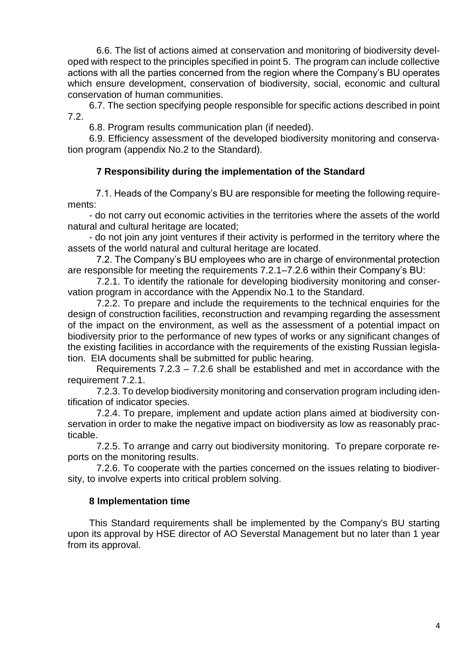6.6. The list of actions aimed at conservation and monitoring of biodiversity developed with respect to the principles specified in point 5. The program can include collective actions with all the parties concerned from the region where the Company's BU operates which ensure development, conservation of biodiversity, social, economic and cultural conservation of human communities.

6.7. The section specifying people responsible for specific actions described in point 7.2.

6.8. Program results communication plan (if needed).

6.9. Efficiency assessment of the developed biodiversity monitoring and conservation program (appendix No.2 to the Standard).

# **7 Responsibility during the implementation of the Standard**

7.1. Heads of the Company's BU are responsible for meeting the following requirements:

- do not carry out economic activities in the territories where the assets of the world natural and cultural heritage are located;

- do not join any joint ventures if their activity is performed in the territory where the assets of the world natural and cultural heritage are located.

7.2. The Company's BU employees who are in charge of environmental protection are responsible for meeting the requirements 7.2.1–7.2.6 within their Company's BU:

7.2.1. To identify the rationale for developing biodiversity monitoring and conservation program in accordance with the Appendix No.1 to the Standard.

7.2.2. To prepare and include the requirements to the technical enquiries for the design of construction facilities, reconstruction and revamping regarding the assessment of the impact on the environment, as well as the assessment of a potential impact on biodiversity prior to the performance of new types of works or any significant changes of the existing facilities in accordance with the requirements of the existing Russian legislation. EIA documents shall be submitted for public hearing.

Requirements 7.2.3 – 7.2.6 shall be established and met in accordance with the requirement 7.2.1.

7.2.3. To develop biodiversity monitoring and conservation program including identification of indicator species.

7.2.4. To prepare, implement and update action plans aimed at biodiversity conservation in order to make the negative impact on biodiversity as low as reasonably practicable.

7.2.5. To arrange and carry out biodiversity monitoring. To prepare corporate reports on the monitoring results.

7.2.6. To cooperate with the parties concerned on the issues relating to biodiversity, to involve experts into critical problem solving.

# **8 Implementation time**

This Standard requirements shall be implemented by the Company's BU starting upon its approval by HSE director of AO Severstal Management but no later than 1 year from its approval.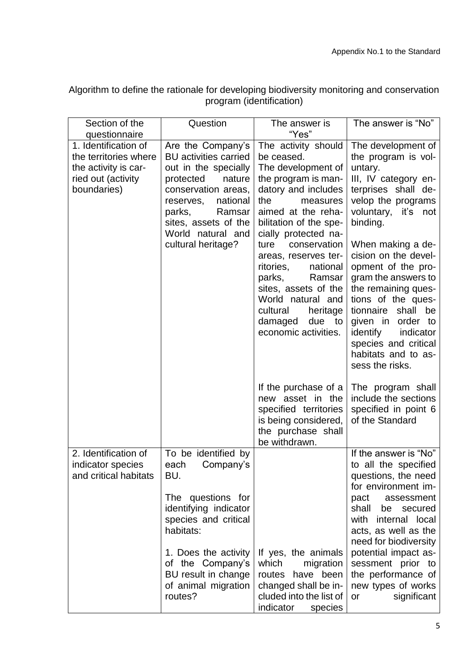Algorithm to define the rationale for developing biodiversity monitoring and conservation program (identification)

| Section of the                                                     | Question                                                                                                                                                                                                                                | The answer is                                                                                                                                                                                                                                                                                                                                                              | The answer is "No"                                                                                                                                                                                                                                                                                                                                                        |
|--------------------------------------------------------------------|-----------------------------------------------------------------------------------------------------------------------------------------------------------------------------------------------------------------------------------------|----------------------------------------------------------------------------------------------------------------------------------------------------------------------------------------------------------------------------------------------------------------------------------------------------------------------------------------------------------------------------|---------------------------------------------------------------------------------------------------------------------------------------------------------------------------------------------------------------------------------------------------------------------------------------------------------------------------------------------------------------------------|
| questionnaire                                                      |                                                                                                                                                                                                                                         | "Yes"                                                                                                                                                                                                                                                                                                                                                                      |                                                                                                                                                                                                                                                                                                                                                                           |
| 1. Identification of<br>the territories where                      | Are the Company's<br><b>BU</b> activities carried                                                                                                                                                                                       | The activity should<br>be ceased.                                                                                                                                                                                                                                                                                                                                          | The development of<br>the program is vol-                                                                                                                                                                                                                                                                                                                                 |
| the activity is car-<br>ried out (activity<br>boundaries)          | out in the specially<br>protected<br>nature<br>conservation areas,<br>reserves,<br>national<br>parks,<br>Ramsar<br>sites, assets of the<br>World natural and<br>cultural heritage?                                                      | The development of<br>the program is man-<br>datory and includes<br>the<br>measures<br>aimed at the reha-<br>bilitation of the spe-<br>cially protected na-<br>conservation<br>ture<br>areas, reserves ter-<br>ritories,<br>national<br>parks,<br>Ramsar<br>sites, assets of the<br>World natural and<br>cultural<br>heritage<br>due to<br>damaged<br>economic activities. | untary.<br>III, IV category en-<br>terprises shall de-<br>velop the programs<br>voluntary, it's not<br>binding.<br>When making a de-<br>cision on the devel-<br>opment of the pro-<br>gram the answers to<br>the remaining ques-<br>tions of the ques-<br>tionnaire shall be<br>given in order to<br>identify<br>indicator<br>species and critical<br>habitats and to as- |
|                                                                    |                                                                                                                                                                                                                                         | If the purchase of a<br>new asset in the<br>specified territories<br>is being considered,<br>the purchase shall<br>be withdrawn.                                                                                                                                                                                                                                           | sess the risks.<br>The program shall<br>include the sections<br>specified in point 6<br>of the Standard                                                                                                                                                                                                                                                                   |
| 2. Identification of<br>indicator species<br>and critical habitats | To be identified by<br>Company's<br>each<br>BU.<br>The questions for<br>identifying indicator<br>species and critical<br>habitats:<br>1. Does the activity<br>of the Company's<br>BU result in change<br>of animal migration<br>routes? | If yes, the animals<br>which<br>migration<br>routes have been<br>changed shall be in-<br>cluded into the list of<br>indicator species                                                                                                                                                                                                                                      | If the answer is "No"<br>to all the specified<br>questions, the need<br>for environment im-<br>pact<br>assessment<br>shall<br>be secured<br>with<br>internal local<br>acts, as well as the<br>need for biodiversity<br>potential impact as-<br>sessment prior to<br>the performance of<br>new types of works<br>significant<br>or                                         |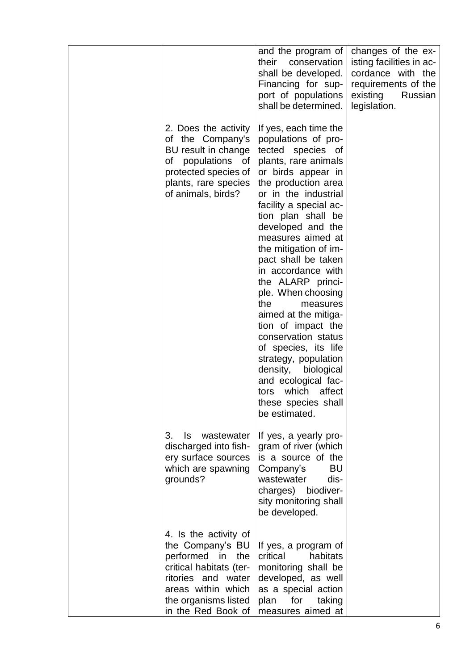|                                                                                                                                                                                       | and the program of<br>their<br>conservation<br>shall be developed.<br>Financing for sup-<br>port of populations<br>shall be determined.                                                                                                                                                                                                                                                                                                                                                                                                                                                                                                  | changes of the ex-<br>isting facilities in ac-<br>cordance with the<br>requirements of the<br>existing<br>Russian<br>legislation. |
|---------------------------------------------------------------------------------------------------------------------------------------------------------------------------------------|------------------------------------------------------------------------------------------------------------------------------------------------------------------------------------------------------------------------------------------------------------------------------------------------------------------------------------------------------------------------------------------------------------------------------------------------------------------------------------------------------------------------------------------------------------------------------------------------------------------------------------------|-----------------------------------------------------------------------------------------------------------------------------------|
| 2. Does the activity<br>of the Company's<br>BU result in change<br>of populations of<br>protected species of<br>plants, rare species<br>of animals, birds?                            | If yes, each time the<br>populations of pro-<br>tected<br>species of<br>plants, rare animals<br>or birds appear in<br>the production area<br>or in the industrial<br>facility a special ac-<br>tion plan shall be<br>developed and the<br>measures aimed at<br>the mitigation of im-<br>pact shall be taken<br>in accordance with<br>the ALARP princi-<br>ple. When choosing<br>the<br>measures<br>aimed at the mitiga-<br>tion of impact the<br>conservation status<br>of species, its life<br>strategy, population<br>density,<br>biological<br>and ecological fac-<br>which<br>affect<br>tors<br>these species shall<br>be estimated. |                                                                                                                                   |
| 3.<br>wastewater<br>ls.<br>discharged into fish-<br>ery surface sources<br>which are spawning<br>grounds?                                                                             | If yes, a yearly pro-<br>gram of river (which<br>is a source of the<br>BU<br>Company's<br>dis-<br>wastewater<br>charges) biodiver-<br>sity monitoring shall<br>be developed.                                                                                                                                                                                                                                                                                                                                                                                                                                                             |                                                                                                                                   |
| 4. Is the activity of<br>the Company's BU<br>performed in<br>the<br>critical habitats (ter-<br>ritories and water<br>areas within which<br>the organisms listed<br>in the Red Book of | If yes, a program of<br>critical<br>habitats<br>monitoring shall be<br>developed, as well<br>as a special action<br>for<br>plan<br>taking<br>measures aimed at                                                                                                                                                                                                                                                                                                                                                                                                                                                                           |                                                                                                                                   |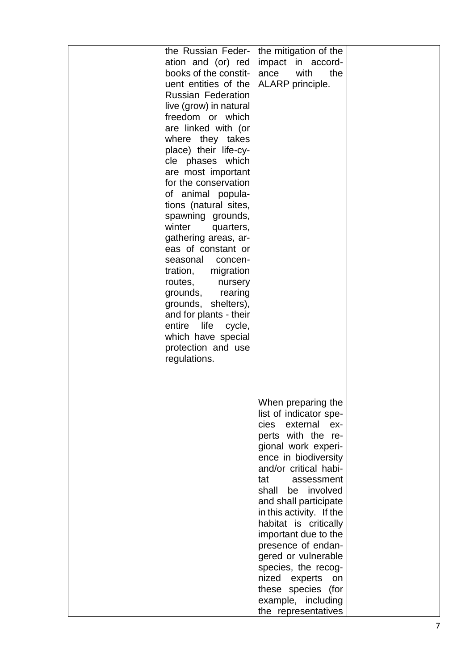| the Russian Feder-                          | the mitigation of the                                                                                                         |  |
|---------------------------------------------|-------------------------------------------------------------------------------------------------------------------------------|--|
|                                             |                                                                                                                               |  |
| ation and (or) red<br>books of the constit- | impact in accord-                                                                                                             |  |
|                                             | ance<br>with<br>the                                                                                                           |  |
| uent entities of the                        | ALARP principle.                                                                                                              |  |
| <b>Russian Federation</b>                   |                                                                                                                               |  |
| live (grow) in natural                      |                                                                                                                               |  |
| freedom or which                            |                                                                                                                               |  |
| are linked with (or                         |                                                                                                                               |  |
| where they takes                            |                                                                                                                               |  |
| place) their life-cy-                       |                                                                                                                               |  |
| cle phases which                            |                                                                                                                               |  |
| are most important                          |                                                                                                                               |  |
| for the conservation                        |                                                                                                                               |  |
| of animal popula-                           |                                                                                                                               |  |
| tions (natural sites,                       |                                                                                                                               |  |
| spawning grounds,                           |                                                                                                                               |  |
| winter<br>quarters,                         |                                                                                                                               |  |
| gathering areas, ar-                        |                                                                                                                               |  |
| eas of constant or                          |                                                                                                                               |  |
| seasonal<br>concen-                         |                                                                                                                               |  |
| tration, migration                          |                                                                                                                               |  |
| routes,<br>nursery                          |                                                                                                                               |  |
| grounds,<br>rearing                         |                                                                                                                               |  |
| grounds, shelters),                         |                                                                                                                               |  |
| and for plants - their                      |                                                                                                                               |  |
| life<br>entire                              |                                                                                                                               |  |
| cycle,                                      |                                                                                                                               |  |
| which have special                          |                                                                                                                               |  |
| protection and use                          |                                                                                                                               |  |
| regulations.                                |                                                                                                                               |  |
|                                             |                                                                                                                               |  |
|                                             |                                                                                                                               |  |
|                                             |                                                                                                                               |  |
|                                             | When preparing the                                                                                                            |  |
|                                             | list of indicator spe-                                                                                                        |  |
|                                             | external ex-<br>cies                                                                                                          |  |
|                                             | perts with the re-                                                                                                            |  |
|                                             | gional work experi-                                                                                                           |  |
|                                             | ence in biodiversity                                                                                                          |  |
|                                             | and/or critical habi-                                                                                                         |  |
|                                             | tat<br>assessment                                                                                                             |  |
|                                             | shall be involved                                                                                                             |  |
|                                             | and shall participate                                                                                                         |  |
|                                             | in this activity. If the                                                                                                      |  |
|                                             | habitat is critically                                                                                                         |  |
|                                             | important due to the                                                                                                          |  |
|                                             |                                                                                                                               |  |
|                                             |                                                                                                                               |  |
|                                             |                                                                                                                               |  |
|                                             | on                                                                                                                            |  |
|                                             |                                                                                                                               |  |
|                                             |                                                                                                                               |  |
|                                             | the representatives                                                                                                           |  |
|                                             | presence of endan-<br>gered or vulnerable<br>species, the recog-<br>nized experts<br>these species (for<br>example, including |  |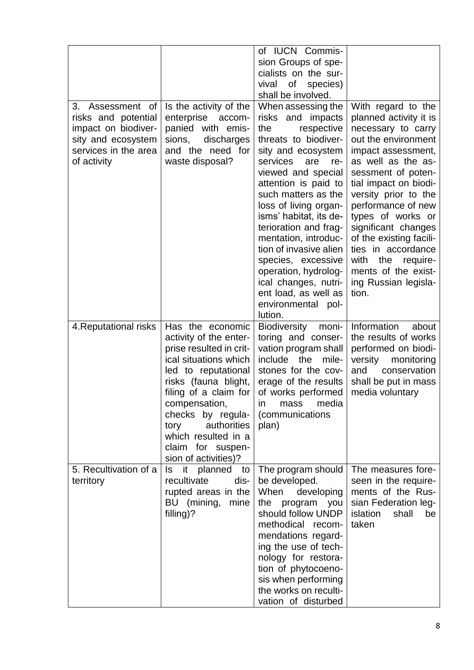|                                                                                                                                |                                                                                                                                                                                                                                                                                                         | of IUCN Commis-<br>sion Groups of spe-<br>cialists on the sur-<br>of<br>vival<br>species)<br>shall be involved.                                                                                                                                                                                                                                                                                                                                                           |                                                                                                                                                                                                                                                                                                                                                                                                                    |
|--------------------------------------------------------------------------------------------------------------------------------|---------------------------------------------------------------------------------------------------------------------------------------------------------------------------------------------------------------------------------------------------------------------------------------------------------|---------------------------------------------------------------------------------------------------------------------------------------------------------------------------------------------------------------------------------------------------------------------------------------------------------------------------------------------------------------------------------------------------------------------------------------------------------------------------|--------------------------------------------------------------------------------------------------------------------------------------------------------------------------------------------------------------------------------------------------------------------------------------------------------------------------------------------------------------------------------------------------------------------|
| 3.<br>Assessment of<br>risks and potential<br>impact on biodiver-<br>sity and ecosystem<br>services in the area<br>of activity | Is the activity of the<br>enterprise<br>accom-<br>panied with emis-<br>sions,<br>discharges<br>and the need for<br>waste disposal?                                                                                                                                                                      | When assessing the<br>risks and<br>impacts<br>respective<br>the<br>threats to biodiver-<br>sity and ecosystem<br>services<br>are<br>re-<br>viewed and special<br>attention is paid to<br>such matters as the<br>loss of living organ-<br>isms' habitat, its de-<br>terioration and frag-<br>mentation, introduc-<br>tion of invasive alien<br>species, excessive<br>operation, hydrolog-<br>ical changes, nutri-<br>ent load, as well as<br>environmental pol-<br>lution. | With regard to the<br>planned activity it is<br>necessary to carry<br>out the environment<br>impact assessment,<br>as well as the as-<br>sessment of poten-<br>tial impact on biodi-<br>versity prior to the<br>performance of new<br>types of works or<br>significant changes<br>of the existing facili-<br>ties in accordance<br>with<br>the<br>require-<br>ments of the exist-<br>ing Russian legisla-<br>tion. |
| 4. Reputational risks                                                                                                          | Has the economic<br>activity of the enter-<br>prise resulted in crit-<br>ical situations which<br>led to reputational<br>risks (fauna blight,<br>filing of a claim for<br>compensation,<br>checks by regula-<br>authorities<br>tory<br>which resulted in a<br>claim for suspen-<br>sion of activities)? | <b>Biodiversity</b><br>moni-<br>toring and conser-<br>vation program shall<br>include<br>the<br>mile-<br>stones for the cov-<br>erage of the results<br>of works performed<br>mass<br>media<br><b>in</b><br>(communications<br>plan)                                                                                                                                                                                                                                      | Information<br>about<br>the results of works<br>performed on biodi-<br>monitoring<br>versity<br>conservation<br>and<br>shall be put in mass<br>media voluntary                                                                                                                                                                                                                                                     |
| 5. Recultivation of a<br>territory                                                                                             | it<br>planned<br>ls<br>to<br>recultivate<br>dis-<br>rupted areas in the<br>BU (mining,<br>mine<br>filling)?                                                                                                                                                                                             | The program should<br>be developed.<br>When<br>developing<br>the<br>program you<br>should follow UNDP<br>methodical recom-<br>mendations regard-<br>ing the use of tech-<br>nology for restora-<br>tion of phytocoeno-<br>sis when performing<br>the works on reculti-<br>vation of disturbed                                                                                                                                                                             | The measures fore-<br>seen in the require-<br>ments of the Rus-<br>sian Federation leg-<br>islation<br>shall<br>be<br>taken                                                                                                                                                                                                                                                                                        |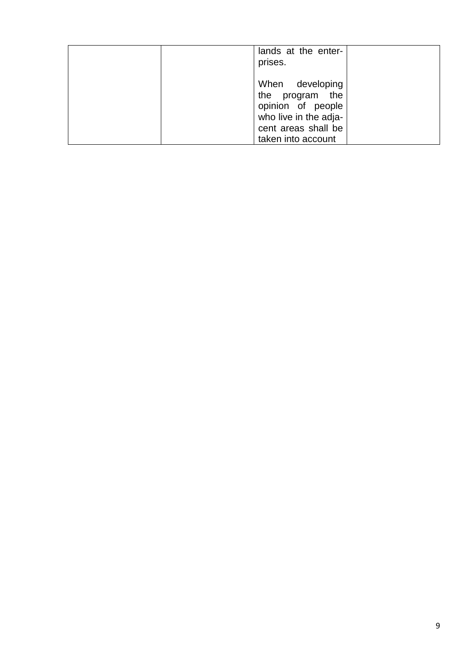| lands at the enter-<br>prises.                                                                                                |  |
|-------------------------------------------------------------------------------------------------------------------------------|--|
| When developing<br>the program the<br>opinion of people<br>who live in the adja-<br>cent areas shall be<br>taken into account |  |